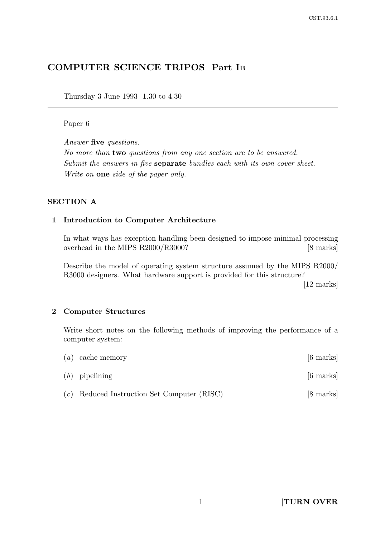# COMPUTER SCIENCE TRIPOS Part I<sup>B</sup>

Thursday 3 June 1993 1.30 to 4.30

#### Paper 6

Answer five questions.

No more than two questions from any one section are to be answered. Submit the answers in five **separate** bundles each with its own cover sheet. Write on one side of the paper only.

### SECTION A

#### 1 Introduction to Computer Architecture

In what ways has exception handling been designed to impose minimal processing overhead in the MIPS R2000/R3000? [8 marks]

Describe the model of operating system structure assumed by the MIPS R2000/ R3000 designers. What hardware support is provided for this structure?

[12 marks]

#### 2 Computer Structures

Write short notes on the following methods of improving the performance of a computer system:

| $(a)$ cache memory                            | $[6 \text{ marks}]$ |
|-----------------------------------------------|---------------------|
| $(b)$ pipelining                              | $[6 \text{ marks}]$ |
| $(c)$ Reduced Instruction Set Computer (RISC) | [8 marks]           |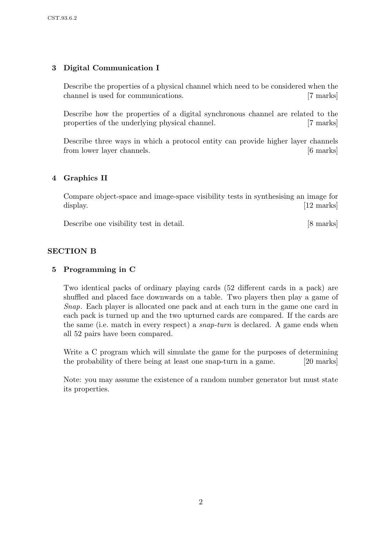# 3 Digital Communication I

Describe the properties of a physical channel which need to be considered when the channel is used for communications. [7 marks]

Describe how the properties of a digital synchronous channel are related to the properties of the underlying physical channel. [7 marks]

Describe three ways in which a protocol entity can provide higher layer channels from lower layer channels. [6 marks]

## 4 Graphics II

Compare object-space and image-space visibility tests in synthesising an image for display. [12 marks]

Describe one visibility test in detail. [8 marks]

### SECTION B

### 5 Programming in C

Two identical packs of ordinary playing cards (52 different cards in a pack) are shuffled and placed face downwards on a table. Two players then play a game of Snap. Each player is allocated one pack and at each turn in the game one card in each pack is turned up and the two upturned cards are compared. If the cards are the same (i.e. match in every respect) a snap-turn is declared. A game ends when all 52 pairs have been compared.

Write a C program which will simulate the game for the purposes of determining the probability of there being at least one snap-turn in a game. [20 marks]

Note: you may assume the existence of a random number generator but must state its properties.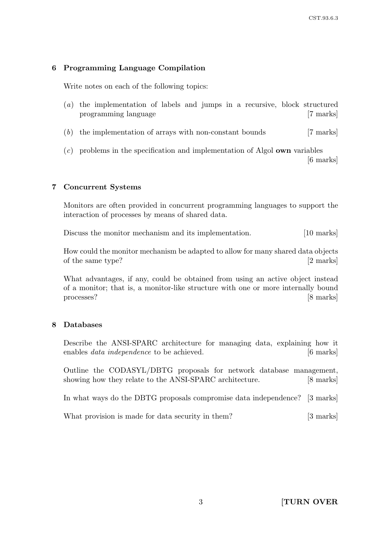## 6 Programming Language Compilation

Write notes on each of the following topics:

- (a) the implementation of labels and jumps in a recursive, block structured programming language [7 marks]
- (b) the implementation of arrays with non-constant bounds [7 marks]
- $(c)$  problems in the specification and implementation of Algol **own** variables [6 marks]

### 7 Concurrent Systems

Monitors are often provided in concurrent programming languages to support the interaction of processes by means of shared data.

Discuss the monitor mechanism and its implementation. [10 marks]

How could the monitor mechanism be adapted to allow for many shared data objects of the same type? [2 marks]

What advantages, if any, could be obtained from using an active object instead of a monitor; that is, a monitor-like structure with one or more internally bound processes? [8 marks]

### 8 Databases

Describe the ANSI-SPARC architecture for managing data, explaining how it enables *data independence* to be achieved. [6 marks]

Outline the CODASYL/DBTG proposals for network database management, showing how they relate to the ANSI-SPARC architecture. [8 marks]

In what ways do the DBTG proposals compromise data independence? [3 marks]

What provision is made for data security in them? [3 marks]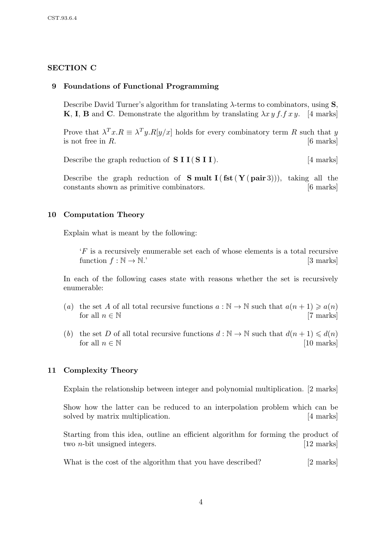### SECTION C

### 9 Foundations of Functional Programming

Describe David Turner's algorithm for translating  $\lambda$ -terms to combinators, using  $S$ , **K**, **I**, **B** and **C**. Demonstrate the algorithm by translating  $\lambda x y f f x y$ . [4 marks]

Prove that  $\lambda^T x.R \equiv \lambda^T y.R[y/x]$  holds for every combinatory term R such that y is not free in  $R$ . [6 marks]

Describe the graph reduction of  $S I I (S I I)$ . [4 marks]

Describe the graph reduction of **S** mult  $I(fst(Y(\text{pair }3)))$ , taking all the constants shown as primitive combinators. [6 marks]

### 10 Computation Theory

Explain what is meant by the following:

'F is a recursively enumerable set each of whose elements is a total recursive function  $f : \mathbb{N} \to \mathbb{N}$ .' [3 marks]

In each of the following cases state with reasons whether the set is recursively enumerable:

- (a) the set A of all total recursive functions  $a : \mathbb{N} \to \mathbb{N}$  such that  $a(n+1) \geq a(n)$ for all  $n \in \mathbb{N}$  [7 marks]
- (b) the set D of all total recursive functions  $d : \mathbb{N} \to \mathbb{N}$  such that  $d(n+1) \leq d(n)$ for all  $n \in \mathbb{N}$  [10 marks]

### 11 Complexity Theory

Explain the relationship between integer and polynomial multiplication. [2 marks]

Show how the latter can be reduced to an interpolation problem which can be solved by matrix multiplication. [4 marks]

Starting from this idea, outline an efficient algorithm for forming the product of two *n*-bit unsigned integers. [12 marks]

What is the cost of the algorithm that you have described? [2 marks]